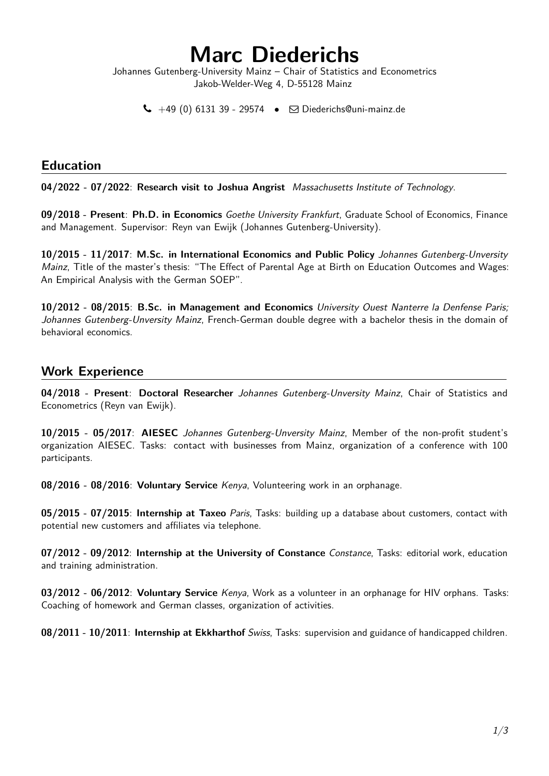# **Marc Diederichs**

Johannes Gutenberg-University Mainz – Chair of Statistics and Econometrics Jakob-Welder-Weg 4, D-55128 Mainz

 $\leftarrow$  +49 (0) 6131 39 - 29574  $\bullet$   $\Box$  [Diederichs@uni-mainz.de](mailto:Diederichs@uni-mainz.de)

#### **Education**

**04/2022 - 07/2022**: **Research visit to Joshua Angrist** Massachusetts Institute of Technology.

**09/2018 - Present**: **Ph.D. in Economics** Goethe University Frankfurt, Graduate School of Economics, Finance and Management. Supervisor: Reyn van Ewijk (Johannes Gutenberg-University).

**10/2015 - 11/2017**: **M.Sc. in International Economics and Public Policy** Johannes Gutenberg-Unversity Mainz, Title of the master's thesis: "The Effect of Parental Age at Birth on Education Outcomes and Wages: An Empirical Analysis with the German SOEP".

**10/2012 - 08/2015**: **B.Sc. in Management and Economics** University Ouest Nanterre la Denfense Paris; Johannes Gutenberg-Unversity Mainz. French-German double degree with a bachelor thesis in the domain of behavioral economics.

### **Work Experience**

**04/2018 - Present**: **Doctoral Researcher** Johannes Gutenberg-Unversity Mainz, Chair of Statistics and Econometrics (Reyn van Ewijk).

**10/2015 - 05/2017**: **AIESEC** Johannes Gutenberg-Unversity Mainz, Member of the non-profit student's organization AIESEC. Tasks: contact with businesses from Mainz, organization of a conference with 100 participants.

**08/2016 - 08/2016**: **Voluntary Service** Kenya, Volunteering work in an orphanage.

**05/2015 - 07/2015**: **Internship at Taxeo** Paris, Tasks: building up a database about customers, contact with potential new customers and affiliates via telephone.

**07/2012 - 09/2012**: **Internship at the University of Constance** Constance, Tasks: editorial work, education and training administration.

**03/2012 - 06/2012**: **Voluntary Service** Kenya, Work as a volunteer in an orphanage for HIV orphans. Tasks: Coaching of homework and German classes, organization of activities.

**08/2011 - 10/2011**: **Internship at Ekkharthof** Swiss, Tasks: supervision and guidance of handicapped children.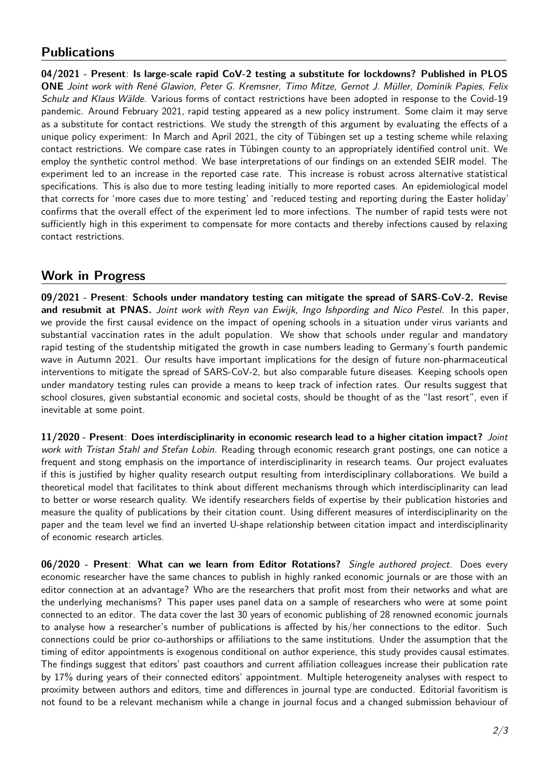## **Publications**

**04/2021 - Present**: **Is large-scale rapid CoV-2 testing a substitute for lockdowns? Published in PLOS ONE** Joint work with René Glawion, Peter G. Kremsner, Timo Mitze, Gernot J. Müller, Dominik Papies, Felix Schulz and Klaus Wälde. Various forms of contact restrictions have been adopted in response to the Covid-19 pandemic. Around February 2021, rapid testing appeared as a new policy instrument. Some claim it may serve as a substitute for contact restrictions. We study the strength of this argument by evaluating the effects of a unique policy experiment: In March and April 2021, the city of Tübingen set up a testing scheme while relaxing contact restrictions. We compare case rates in Tübingen county to an appropriately identified control unit. We employ the synthetic control method. We base interpretations of our findings on an extended SEIR model. The experiment led to an increase in the reported case rate. This increase is robust across alternative statistical specifications. This is also due to more testing leading initially to more reported cases. An epidemiological model that corrects for 'more cases due to more testing' and 'reduced testing and reporting during the Easter holiday' confirms that the overall effect of the experiment led to more infections. The number of rapid tests were not sufficiently high in this experiment to compensate for more contacts and thereby infections caused by relaxing contact restrictions.

### **Work in Progress**

**09/2021 - Present**: **Schools under mandatory testing can mitigate the spread of SARS-CoV-2. Revise and resubmit at PNAS.** Joint work with Reyn van Ewijk, Ingo Ishpording and Nico Pestel. In this paper, we provide the first causal evidence on the impact of opening schools in a situation under virus variants and substantial vaccination rates in the adult population. We show that schools under regular and mandatory rapid testing of the studentship mitigated the growth in case numbers leading to Germany's fourth pandemic wave in Autumn 2021. Our results have important implications for the design of future non-pharmaceutical interventions to mitigate the spread of SARS-CoV-2, but also comparable future diseases. Keeping schools open under mandatory testing rules can provide a means to keep track of infection rates. Our results suggest that school closures, given substantial economic and societal costs, should be thought of as the "last resort", even if inevitable at some point.

**11/2020 - Present**: **Does interdisciplinarity in economic research lead to a higher citation impact?** Joint work with Tristan Stahl and Stefan Lobin. Reading through economic research grant postings, one can notice a frequent and stong emphasis on the importance of interdisciplinarity in research teams. Our project evaluates if this is justified by higher quality research output resulting from interdisciplinary collaborations. We build a theoretical model that facilitates to think about different mechanisms through which interdisciplinarity can lead to better or worse research quality. We identify researchers fields of expertise by their publication histories and measure the quality of publications by their citation count. Using different measures of interdisciplinarity on the paper and the team level we find an inverted U-shape relationship between citation impact and interdisciplinarity of economic research articles.

**06/2020 - Present**: **What can we learn from Editor Rotations?** Single authored project. Does every economic researcher have the same chances to publish in highly ranked economic journals or are those with an editor connection at an advantage? Who are the researchers that profit most from their networks and what are the underlying mechanisms? This paper uses panel data on a sample of researchers who were at some point connected to an editor. The data cover the last 30 years of economic publishing of 28 renowned economic journals to analyse how a researcher's number of publications is affected by his/her connections to the editor. Such connections could be prior co-authorships or affiliations to the same institutions. Under the assumption that the timing of editor appointments is exogenous conditional on author experience, this study provides causal estimates. The findings suggest that editors' past coauthors and current affiliation colleagues increase their publication rate by 17% during years of their connected editors' appointment. Multiple heterogeneity analyses with respect to proximity between authors and editors, time and differences in journal type are conducted. Editorial favoritism is not found to be a relevant mechanism while a change in journal focus and a changed submission behaviour of